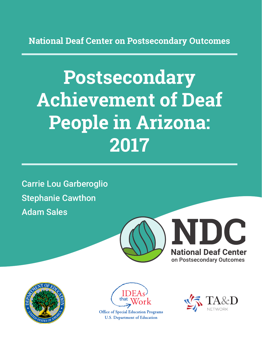**National Deaf Center on Postsecondary Outcomes**

# **Postsecondary Achievement of Deaf People in Arizona: 2017**

Carrie Lou Garberoglio Stephanie Cawthon Adam Sales







**Office of Special Education Programs U.S. Department of Education** 

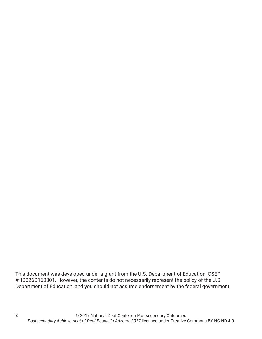This document was developed under a grant from the U.S. Department of Education, OSEP #HD326D160001. However, the contents do not necessarily represent the policy of the U.S. Department of Education, and you should not assume endorsement by the federal government.

2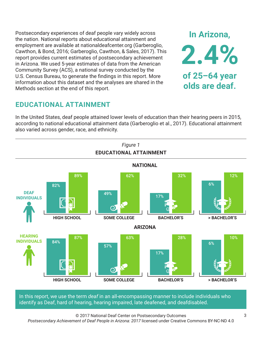Postsecondary experiences of deaf people vary widely across the nation. National reports about educational attainment and employment are available at nationaldeafcenter.org (Garberoglio, Cawthon, & Bond, 2016; Garberoglio, Cawthon, & Sales, 2017). This report provides current estimates of postsecondary achievement in Arizona. We used 5-year estimates of data from the American Community Survey (ACS), a national survey conducted by the U.S. Census Bureau, to generate the findings in this report. More information about this dataset and the analyses are shared in the Methods section at the end of this report.

## **EDUCATIONAL ATTAINMENT**

In the United States, deaf people attained lower levels of education than their hearing peers in 2015, according to national educational attainment data (Garberoglio et al., 2017). Educational attainment also varied across gender, race, and ethnicity.



In this report, we use the term *deaf* in an all-encompassing manner to include individuals who identify as Deaf, hard of hearing, hearing impaired, late deafened, and deafdisabled.

© 2017 National Deaf Center on Postsecondary Outcomes *Postsecondary Achievement of Deaf People in Arizona: 2017* licensed under Creative Commons BY-NC-ND 4.0

**In Arizona,**

**2.4%**

**of 25–64 year**

**olds are deaf.**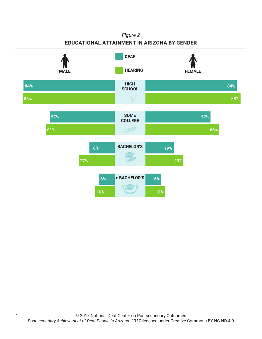#### *Figure 2*

#### **EDUCATIONAL ATTAINMENT IN ARIZONA BY GENDER**



4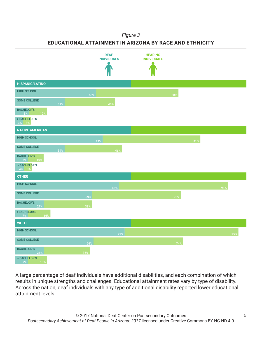#### *Figure 3*

**EDUCATIONAL ATTAINMENT IN ARIZONA BY RACE AND ETHNICITY**



A large percentage of deaf individuals have additional disabilities, and each combination of which results in unique strengths and challenges. Educational attainment rates vary by type of disability. Across the nation, deaf individuals with any type of additional disability reported lower educational attainment levels.

5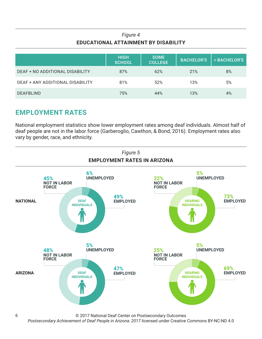## *Figure 4* **EDUCATIONAL ATTAINMENT BY DISABILITY**

|                                  | <b>HIGH</b><br><b>SCHOOL</b> | <b>SOME</b><br><b>COLLEGE</b> | <b>BACHELOR'S</b> | > BACHELOR'S |
|----------------------------------|------------------------------|-------------------------------|-------------------|--------------|
| DEAF + NO ADDITIONAL DISABILITY  | 87%                          | 62%                           | 21%               | 8%           |
| DEAF + ANY ADDITIONAL DISABILITY | 81%                          | 52%                           | 13%               | 5%           |
| <b>DEAFBLIND</b>                 | 75%                          | 44%                           | 13%               | 4%           |

## **EMPLOYMENT RATES**

National employment statistics show lower employment rates among deaf individuals. Almost half of deaf people are not in the labor force (Garberoglio, Cawthon, & Bond, 2016). Employment rates also vary by gender, race, and ethnicity.



© 2017 National Deaf Center on Postsecondary Outcomes

*Postsecondary Achievement of Deaf People in Arizona: 2017* licensed under Creative Commons BY-NC-ND 4.0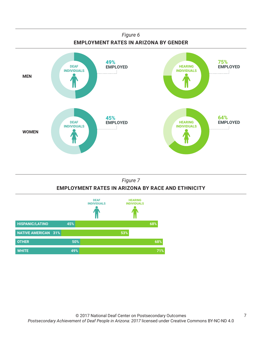

## *Figure 7* **EMPLOYMENT RATES IN ARIZONA BY RACE AND ETHNICITY**

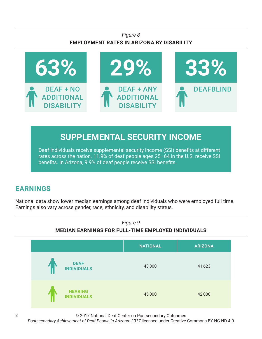## *Figure 8* **EMPLOYMENT RATES IN ARIZONA BY DISABILITY**



# **SUPPLEMENTAL SECURITY INCOME**

Deaf individuals receive supplemental security income (SSI) benefits at different rates across the nation. 11.9% of deaf people ages 25–64 in the U.S. receive SSI benefits. In Arizona, 9.9% of deaf people receive SSI benefits.

# **EARNINGS**

National data show lower median earnings among deaf individuals who were employed full time. Earnings also vary across gender, race, ethnicity, and disability status.



© 2017 National Deaf Center on Postsecondary Outcomes

*Postsecondary Achievement of Deaf People in Arizona: 2017* licensed under Creative Commons BY-NC-ND 4.0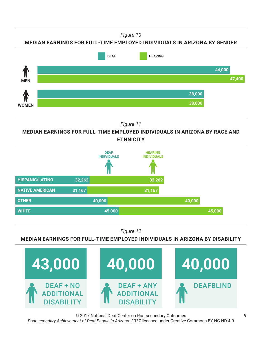*Figure 10*

**MEDIAN EARNINGS FOR FULL-TIME EMPLOYED INDIVIDUALS IN ARIZONA BY GENDER**



*Figure 11*

**MEDIAN EARNINGS FOR FULL-TIME EMPLOYED INDIVIDUALS IN ARIZONA BY RACE AND ETHNICITY**



*Figure 12*

**MEDIAN EARNINGS FOR FULL-TIME EMPLOYED INDIVIDUALS IN ARIZONA BY DISABILITY**



© 2017 National Deaf Center on Postsecondary Outcomes *Postsecondary Achievement of Deaf People in Arizona: 2017* licensed under Creative Commons BY-NC-ND 4.0